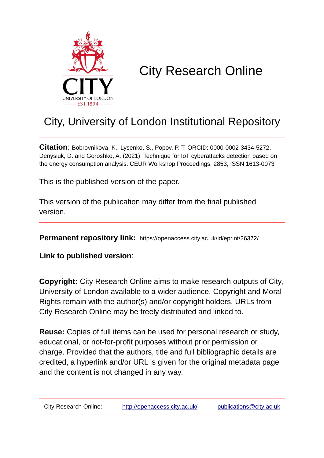

# City Research Online

## City, University of London Institutional Repository

**Citation**: Bobrovnikova, K., Lysenko, S., Popov, P. T. ORCID: 0000-0002-3434-5272, Denysiuk, D. and Goroshko, A. (2021). Technique for IoT cyberattacks detection based on the energy consumption analysis. CEUR Workshop Proceedings, 2853, ISSN 1613-0073

This is the published version of the paper.

This version of the publication may differ from the final published version.

**Permanent repository link:** https://openaccess.city.ac.uk/id/eprint/26372/

**Link to published version**:

**Copyright:** City Research Online aims to make research outputs of City, University of London available to a wider audience. Copyright and Moral Rights remain with the author(s) and/or copyright holders. URLs from City Research Online may be freely distributed and linked to.

**Reuse:** Copies of full items can be used for personal research or study, educational, or not-for-profit purposes without prior permission or charge. Provided that the authors, title and full bibliographic details are credited, a hyperlink and/or URL is given for the original metadata page and the content is not changed in any way.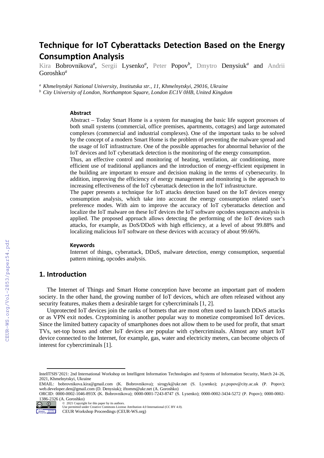## **Technique for IoT Cyberattacks Detection Based on the Energy Consumption Analysis**

Kira Bobrovnikova*<sup>a</sup>* , Sergii Lysenko*<sup>a</sup>* , Peter Popov*<sup>b</sup>* , Dmytro Denysiuk*<sup>a</sup>* and Andrii Goroshko*<sup>a</sup>*

*<sup>a</sup> Khmelnytskyi National University, Institutska str., 11, Khmelnytskyi, 29016, Ukraine*

*<sup>b</sup> City University of London, Northampton Square, London EC1V 0HB, United Kingdom*

#### **Abstract**

Abstract – Today Smart Home is a system for managing the basic life support processes of both small systems (commercial, office premises, apartments, cottages) and large automated complexes (commercial and industrial complexes). One of the important tasks to be solved by the concept of a modern Smart Home is the problem of preventing the malware spread and the usage of IoT infrastructure. One of the possible approaches for abnormal behavior of the IoT devices and IoT cyberattack detection is the monitoring of the energy consumption.

Thus, an effective control and monitoring of heating, ventilation, air conditioning, more efficient use of traditional appliances and the introduction of energy-efficient equipment in the building are important to ensure and decision making in the terms of cybersecurity. In addition, improving the efficiency of energy management and monitoring is the approach to increasing effectiveness of the IoT cyberattack detection in the IoT infrastructure.

The paper presents a technique for IoT attacks detection based on the IoT devices energy consumption analysis, which take into account the energy consumption related user's preference modes. With aim to improve the accuracy of IoT cyberattacks detection and localize the IoT malware on these IoT devices the IoT software opcodes sequences analysis is applied. The proposed approach allows detecting the performing of the IoT devices such attacks, for example, as DoS/DDoS with high efficiency, at a level of about 99.88% and localizing malicious IoT software on these devices with accuracy of about 99.66%.

#### **Keywords**

Internet of things, cyberattack, DDoS, malware detection, energy consumption, sequential pattern mining, opcodes analysis.

#### **1. Introduction**

The Internet of Things and Smart Home conception have become an important part of modern society. In the other hand, the growing number of IoT devices, which are often released without any security features, makes them a desirable target for cybercriminals [1, 2].

Unprotected IoT devices join the ranks of botnets that are most often used to launch DDoS attacks or as VPN exit nodes. Cryptomining is another popular way to monetize compromised IoT devices. Since the limited battery capacity of smartphones does not allow them to be used for profit, that smart TVs, set-top boxes and other IoT devices are popular with cybercriminals. Almost any smart IoT device connected to the Internet, for example, gas, water and electricity meters, can become objects of interest for cybercriminals [1].

ORCID: 0000-0002-1046-893X (K. Bobrovnikova); 0000-0001-7243-8747 (S. Lysenko); 0000-0002-3434-5272 (P. Popov); 0000-0002- 1386-2326 (A. Goroshko) © 2021 Copyright for this paper by its authors.



Use permitted under Creative Commons License Attribution 4.0 International (CC BY 4.0).

CEUR Workshop Proceedings (CEUR-WS.org)

IntelITSIS'2021: 2nd International Workshop on Intelligent Information Technologies and Systems of Information Security, March 24–26, 2021, Khmelnytskyi, Ukraine

EMAIL: bobrovnikova.kira@gmail.com (K. Bobrovnikova); sirogyk@ukr.net (S. Lysenko); p.t.popov@city.ac.uk (P. Popov); web.developer.den@gmail.com (D. Denysiuk); [iftomm@ukr.net](mailto:iftomm@ukr.net) (A. Goroshko)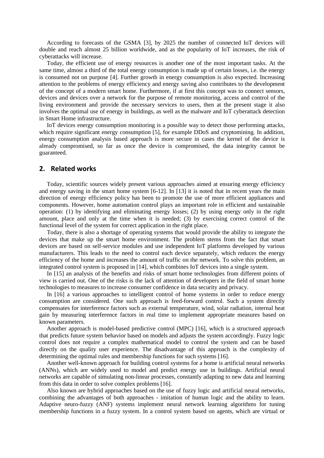According to forecasts of the GSMA [3], by 2025 the number of connected IoT devices will double and reach almost 25 billion worldwide, and as the popularity of IoT increases, the risk of cyberattacks will increase.

Today, the efficient use of energy resources is another one of the most important tasks. At the same time, almost a third of the total energy consumption is made up of certain losses, i.e. the energy is consumed not on purpose [4]. Further growth in energy consumption is also expected. Increasing attention to the problems of energy efficiency and energy saving also contributes to the development of the concept of a modern smart home. Furthermore, if at first this concept was to connect sensors, devices and devices over a network for the purpose of remote monitoring, access and control of the living environment and provide the necessary services to users, then at the present stage it also involves the optimal use of energy in buildings, as well as the malware and IoT cyberattack detection in Smart Home infrastructure.

IoT devices energy consumption monitoring is a possible way to detect those performing attacks, which require significant energy consumption [5], for example DDoS and cryptomining. In addition, energy consumption analysis based approach is more secure in cases the kernel of the device is already compromised, so far as once the device is compromised, the data integrity cannot be guaranteed.

#### **2. Related works**

Today, scientific sources widely present various approaches aimed at ensuring energy efficiency and energy saving in the smart home system [6-12]. In [13] it is noted that in recent years the main direction of energy efficiency policy has been to promote the use of more efficient appliances and components. However, home automation control plays an important role in efficient and sustainable operation: (1) by identifying and eliminating energy losses; (2) by using energy only in the right amount, place and only at the time when it is needed; (3) by exercising correct control of the functional level of the system for correct application in the right place.

Today, there is also a shortage of operating systems that would provide the ability to integrate the devices that make up the smart home environment. The problem stems from the fact that smart devices are based on self-service modules and use independent IoT platforms developed by various manufacturers. This leads to the need to control each device separately, which reduces the energy efficiency of the home and increases the amount of traffic on the network. To solve this problem, an integrated control system is proposed in [14], which combines IoT devices into a single system.

In [15] an analysis of the benefits and risks of smart home technologies from different points of view is carried out. One of the risks is the lack of attention of developers in the field of smart home technologies to measures to increase consumer confidence in data security and privacy.

In [16] a various approaches to intelligent control of home systems in order to reduce energy consumption are considered. One such approach is feed-forward control. Such a system directly compensates for interference factors such as external temperature, wind, solar radiation, internal heat gain by measuring interference factors in real time to implement appropriate measures based on known parameters.

Another approach is model-based predictive control (MPC) [16], which is a structured approach that predicts future system behavior based on models and adjusts the system accordingly. Fuzzy logic control does not require a complex mathematical model to control the system and can be based directly on the quality user experience. The disadvantage of this approach is the complexity of determining the optimal rules and membership functions for such systems [16].

Another well-known approach for building control systems for a home is artificial neural networks (ANNs), which are widely used to model and predict energy use in buildings. Artificial neural networks are capable of simulating non-linear processes, constantly adapting to new data and learning from this data in order to solve complex problems [16].

Also known are hybrid approaches based on the use of fuzzy logic and artificial neural networks, combining the advantages of both approaches - imitation of human logic and the ability to learn. Adaptive neuro-fuzzy (ANF) systems implement neural network learning algorithms for tuning membership functions in a fuzzy system. In a control system based on agents, which are virtual or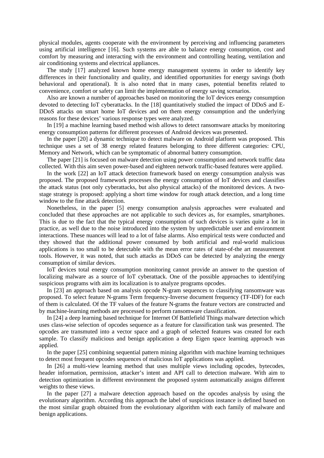physical modules, agents cooperate with the environment by perceiving and influencing parameters using artificial intelligence [16]. Such systems are able to balance energy consumption, cost and comfort by measuring and interacting with the environment and controlling heating, ventilation and air conditioning systems and electrical appliances.

The study [17] analyzed known home energy management systems in order to identify key differences in their functionality and quality, and identified opportunities for energy savings (both behavioral and operational). It is also noted that in many cases, potential benefits related to convenience, comfort or safety can limit the implementation of energy saving scenarios.

Also are known a number of approaches based on monitoring the IoT devices energy consumption devoted to detecting IoT cyberattacks. In the [18] quantitatively studied the impact of DDoS and E-DDoS attacks on smart home IoT devices and on them energy consumption and the underlying reasons for these devices' various response types were analyzed.

In [19] a machine learning based method wish allows to detect ransomware attacks by monitoring energy consumption patterns for different processes of Android devices was presented.

In the paper [20] a dynamic technique to detect malware on Android platform was proposed. This technique uses a set of 38 energy related features belonging to three different categories: CPU, Memory and Network, which can be symptomatic of abnormal battery consumption.

The paper [21] is focused on malware detection using power consumption and network traffic data collected. With this aim seven power-based and eighteen network traffic-based features were applied.

In the work [22] an IoT attack detection framework based on energy consumption analysis was proposed. The proposed framework processes the energy consumption of IoT devices and classifies the attack status (not only cyberattacks, but also physical attacks) of the monitored devices. A twostage strategy is proposed: applying a short time window for rough attack detection, and a long time window to the fine attack detection.

Nonetheless, in the paper [5] energy consumption analysis approaches were evaluated and concluded that these approaches are not applicable to such devices as, for examples, smartphones. This is due to the fact that the typical energy consumption of such devices is varies quite a lot in practice, as well due to the noise introduced into the system by unpredictable user and environment interactions. These nuances will lead to a lot of false alarms. Also empirical tests were conducted and they showed that the additional power consumed by both artificial and real-world malicious applications is too small to be detectable with the mean error rates of state-of-the art measurement tools. However, it was noted, that such attacks as DDoS can be detected by analyzing the energy consumption of similar devices.

IoT devices total energy consumption monitoring cannot provide an answer to the question of localizing malware as a source of IoT cyberattack. One of the possible approaches to identifying suspicious programs with aim its localization is to analyze programs opcodes.

In [23] an approach based on analysis opcode N-gram sequences to classifying ransomware was proposed. To select feature N-grams Term frequency-Inverse document frequency (TF-IDF) for each of them is calculated. Of the TF values of the feature N-grams the feature vectors are constructed and by machine-learning methods are processed to perform ransomware classification.

In [24] a deep learning based technique for Internet Of Battlefield Things malware detection which uses class-wise selection of opcodes sequence as a feature for classification task was presented. The opcodes are transmuted into a vector space and a graph of selected features was created for each sample. To classify malicious and benign application a deep Eigen space learning approach was applied.

In the paper [25] combining sequential pattern mining algorithm with machine learning techniques to detect most frequent opcodes sequences of malicious IoT applications was applied.

In [26] a multi-view learning method that uses multiple views including opcodes, bytecodes, header information, permission, attacker's intent and API call to detection malware. With aim to detection optimization in different environment the proposed system automatically assigns different weights to these views.

In the paper [27] a malware detection approach based on the opcodes analysis by using the evolutionary algorithm. According this approach the label of suspicious instance is defined based on the most similar graph obtained from the evolutionary algorithm with each family of malware and benign applications.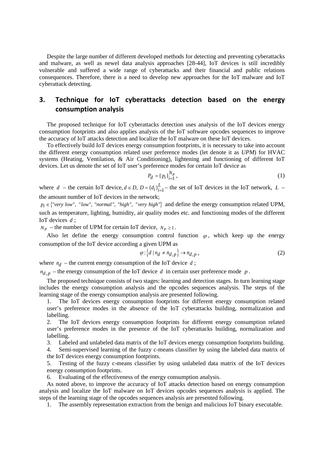Despite the large number of different developed methods for detecting and preventing cyberattacks and malware, as well as newel data analysis approaches [28-44], IoT devices is still incredibly vulnerable and suffered a wide range of cyberattacks and their financial and public relations consequences. Therefore, there is a need to develop new approaches for the IoT malware and IoT cyberattack detecting.

### **3. Technique for IoT cyberattacks detection based on the energy consumption analysis**

The proposed technique for IoT cyberattacks detection uses analysis of the IoT devices energy consumption footprints and also applies analysis of the IoT software opcodes sequences to improve the accuracy of IoT attacks detection and localize the IoT malware on these IoT devices.

To effectively build IoT devices energy consumption footprints, it is necessary to take into account the different energy consumption related user preference modes (let denote it as *UPM*) for HVAC systems (Heating, Ventilation, & Air Conditioning), lightening and functioning of different IoT devices. Let us denote the set of IoT user's preference modes for certain IoT device as

$$
P_d = \{p_i\}_{i=1}^{N_P},\tag{1}
$$

where *d* – the certain IoT device,  $d \in D$ ,  $D = \{d_i\}_{i=1}^L$  the set of IoT devices in the IoT network, *L* – the amount number of IoT devices in the network;

 $p_i \in \{$ " very low", "low", "normal", "high", "very high" } and define the energy consumption related UPM, such as temperature, lighting, humidity, air quality modes etc. and functioning modes of the different IoT devices *d* ;

 $N_p$  – the number of UPM for certain IoT device,  $N_p \geq 1$ .

Also let define the energy consumption control function  $\varphi$ , which keep up the energy consumption of the IoT device according a given UPM as

$$
\varphi: \left\{ d \mid n_d \neq n_{d,p} \right\} \to n_{d,p} \,, \tag{2}
$$

where  $n_d$  – the current energy consumption of the IoT device  $d$ ;

 $n_{d,p}$  – the energy consumption of the IoT device *d* in certain user preference mode *p*.

The proposed technique consists of two stages: learning and detection stages. In turn learning stage includes the energy consumption analysis and the opcodes sequences analysis. The steps of the learning stage of the energy consumption analysis are presented following.

1. The IoT devices energy consumption footprints for different energy consumption related user's preference modes in the absence of the IoT cyberattacks building, normalization and labelling.

2. The IoT devices energy consumption footprints for different energy consumption related user's preference modes in the presence of the IoT cyberattacks building, normalization and labelling.

3. Labeled and unlabeled data matrix of the IoT devices energy consumption footprints building.

4. Semi-supervised learning of the fuzzy c-means classifier by using the labeled data matrix of the IoT devices energy consumption footprints.

5. Testing of the fuzzy c-means classifier by using unlabeled data matrix of the IoT devices energy consumption footprints.

6. Evaluating of the effectiveness of the energy consumption analysis.

As noted above, to improve the accuracy of IoT attacks detection based on energy consumption analysis and localize the IoT malware on IoT devices opcodes sequences analysis is applied. The steps of the learning stage of the opcodes sequences analysis are presented following.

1. The assembly representation extraction from the benign and malicious IoT binary executable.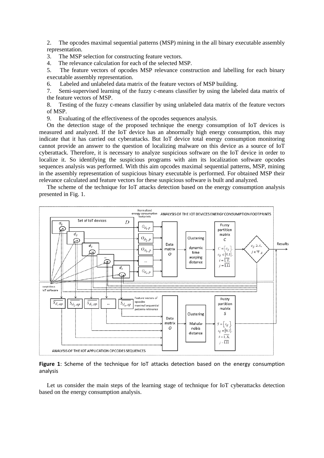2. The opcodes maximal sequential patterns (MSP) mining in the all binary executable assembly representation.

3. The MSP selection for constructing feature vectors.

4. The relevance calculation for each of the selected MSP.

5. The feature vectors of opcodes MSP relevance construction and labelling for each binary executable assembly representation.

6. Labeled and unlabeled data matrix of the feature vectors of MSP building.

7. Semi-supervised learning of the fuzzy c-means classifier by using the labeled data matrix of the feature vectors of MSP.

8. Testing of the fuzzy c-means classifier by using unlabeled data matrix of the feature vectors of MSP.

9. Evaluating of the effectiveness of the opcodes sequences analysis.

On the detection stage of the proposed technique the energy consumption of IoT devices is measured and analyzed. If the IoT device has an abnormally high energy consumption, this may indicate that it has carried out cyberattacks. But IoT device total energy consumption monitoring cannot provide an answer to the question of localizing malware on this device as a source of IoT cyberattack. Therefore, it is necessary to analyze suspicious software on the IoT device in order to localize it. So identifying the suspicious programs with aim its localization software opcodes sequences analysis was performed. With this aim opcodes maximal sequential patterns, MSP, mining in the assembly representation of suspicious binary executable is performed. For obtained MSP their relevance calculated and feature vectors for these suspicious software is built and analyzed.

The scheme of the technique for IoT attacks detection based on the energy consumption analysis presented in Fig. 1.



**Figure 1**: Scheme of the technique for IoT attacks detection based on the energy consumption analysis

Let us consider the main steps of the learning stage of technique for IoT cyberattacks detection based on the energy consumption analysis.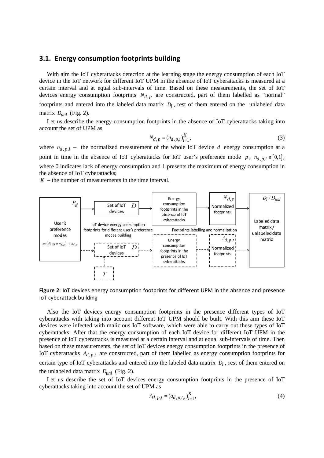#### **3.1. Energy consumption footprints building**

With aim the IoT cyberattacks detection at the learning stage the energy consumption of each IoT device in the IoT network for different IoT UPM in the absence of IoT cyberattacks is measured at a certain interval and at equal sub-intervals of time. Based on these measurements, the set of IoT devices energy consumption footprints  $N_{d,p}$  are constructed, part of them labelled as "normal" footprints and entered into the labeled data matrix  $D_l$ , rest of them entered on the unlabeled data matrix *Dunl* (Fig. 2).

Let us describe the energy consumption footprints in the absence of IoT cyberattacks taking into account the set of UPM as

$$
N_{d,p} = (n_{d,p,i})_{i=1}^{K},
$$
\n(3)

where  $n_{d,p,i}$  – the normalized measurement of the whole IoT device *d* energy consumption at a point in time in the absence of IoT cyberattacks for IoT user's preference mode *p*,  $n_{d,p,i} \in [0,1]$ , where 0 indicates lack of energy consumption and 1 presents the maximum of energy consumption in the absence of IoT cyberattacks;

 $K$  – the number of measurements in the time interval.



**Figure 2**: IoT devices energy consumption footprints for different UPM in the absence and presence IoT cyberattack building

Also the IoT devices energy consumption footprints in the presence different types of IoT cyberattacks with taking into account different IoT UPM should be built. With this aim these IoT devices were infected with malicious IoT software, which were able to carry out these types of IoT cyberattacks. After that the energy consumption of each IoT device for different IoT UPM in the presence of IoT cyberattacks is measured at a certain interval and at equal sub-intervals of time. Then based on these measurements, the set of IoT devices energy consumption footprints in the presence of IoT cyberattacks  $A_{d,p,t}$  are constructed, part of them labelled as energy consumption footprints for certain type of IoT cyberattacks and entered into the labeled data matrix  $D_l$ , rest of them entered on the unlabeled data matrix *Dunl* (Fig. 2).

Let us describe the set of IoT devices energy consumption footprints in the presence of IoT cyberattacks taking into account the set of UPM as

$$
A_{d,p,t} = (a_{d,p,t,i})_{i=1}^{K},
$$
\n(4)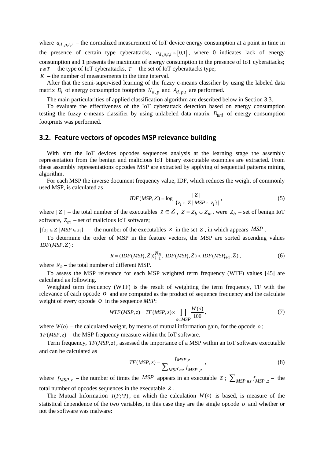where  $a_{d,p,t,i}$  – the normalized measurement of IoT device energy consumption at a point in time in the presence of certain type cyberattacks,  $a_{d,p,t,i} \in [0,1]$ , where 0 indicates lack of energy consumption and 1 presents the maximum of energy consumption in the presence of IoT cyberattacks;  $t \in T$  – the type of IoT cyberattacks,  $T$  – the set of IoT cyberattacks type;

 $K$  – the number of measurements in the time interval.

After that the semi-supervised learning of the fuzzy c-means classifier by using the labeled data matrix  $D_l$  of energy consumption footprints  $N_{d,p}$  and  $A_{d,p,t}$  are performed.

The main particularities of applied classification algorithm are described below in Section 3.3.

To evaluate the effectiveness of the IoT cyberattack detection based on energy consumption testing the fuzzy c-means classifier by using unlabeled data matrix *Dunl* of energy consumption footprints was performed.

#### **3.2. Feature vectors of opcodes MSP relevance building**

With aim the IoT devices opcodes sequences analysis at the learning stage the assembly representation from the benign and malicious IoT binary executable examples are extracted. From these assembly representations opcodes MSP are extracted by applying of sequential patterns mining algorithm.

For each MSP the inverse document frequency value, IDF, which reduces the weight of commonly used MSP, is calculated as

$$
IDF(MSP, Z) = \log \frac{|Z|}{|\{z_i \in Z \mid MSP \in z_i\}|},
$$
\n(5)

where  $|Z|$  – the total number of the executables  $Z \in \mathbb{Z}$ ,  $Z = Z_b \cup Z_m$ , were  $Z_b$  – set of benign IoT software,  $Z_m$  – set of malicious IoT software;

 $|\{z_i \in Z \mid MSP \in z_i\}|$  – the number of the executables *z* in the set *Z*, in which appears *MSP*.

To determine the order of MSP in the feature vectors, the MSP are sorted ascending values  $IDF(MSP, Z)$ :

$$
R = (IDF(MSP_i, Z))_{i=1}^{N_R}, \; IDF(MSP_i, Z) < IDF(MSP_{i+1}, Z) \,, \tag{6}
$$

where  $N_R$  – the total number of different MSP.

To assess the MSP relevance for each MSP weighted term frequency (WTF) values [45] are calculated as following.

Weighted term frequency (WTF) is the result of weighting the term frequency, TF with the relevance of each opcode *o* and are computed as the product of sequence frequency and the calculate weight of every opcode *o* in the sequence *MSP*:

$$
WTF(MSP, z) = TF(MSP, z) \times \prod_{o \in MSP} \frac{W(o)}{100},\tag{7}
$$

where  $W(o)$  – the calculated weight, by means of mutual information gain, for the opcode  $o$ ;  $TF(MSP, z)$  – the MSP frequency measure within the IoT software.

Term frequency, *TF (MSP, z)*, assessed the importance of a MSP within an IoT software executable and can be calculated as

$$
TF(MSP, z) = \frac{f_{MSP, z}}{\sum_{MSP' \in z} f_{MSP', z}},
$$
\n(8)

where  $f_{MSP,z}$  – the number of times the *MSP* appears in an executable  $z : \sum_{MSP} \epsilon_z f_{MSP}$ ,  $z$  – the total number of opcodes sequences in the executable *z* .

The Mutual Information  $I(F; \Psi)$ , on which the calculation  $W(o)$  is based, is measure of the statistical dependence of the two variables, in this case they are the single opcode *o* and whether or not the software was malware: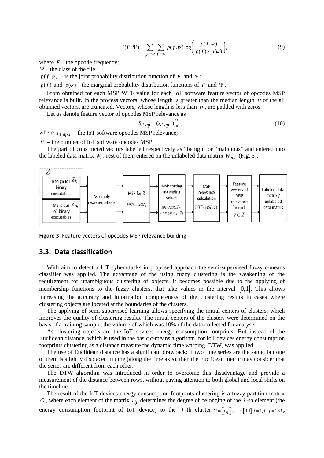$$
I(F; \Psi) = \sum_{\psi \in \Psi} \sum_{f \in F} p(f, \psi) \log \left( \frac{p(f, \psi)}{p(f) \times p(\psi)} \right),\tag{9}
$$

where  $F$  – the opcode frequency;

 $\Psi$  – the class of the file;

 $p(f, \psi)$  – is the joint probability distribution function of *F* and Ψ;

 $p(f)$  and  $p(\psi)$  – the marginal probability distribution functions of *F* and Ψ.

From obtained for each MSP WTF value for each IoT software feature vector of opcodes MSP relevance is built. In the process vectors, whose length is greater than the median length *H* of the all obtained vectors, are truncated. Vectors, whose length is less than *H* , are padded with zeros.

Let us denote feature vector of opcodes MSP relevance as

$$
\overline{S_{d,ap}} = (s_{d,ap,i})_{i=1}^H,
$$
\n(10)

where  $s_{d,ap,i}$  – the IoT software opcodes MSP relevance;

*H* – the number of IoT software opcodes MSP.

The part of constructed vectors labelled respectively as "benign" or "malicious" and entered into the labeled data matrix  $W_l$ , rest of them entered on the unlabeled data matrix  $W_{unl}$  (Fig. 3).



**Figure 3**: Feature vectors of opcodes MSP relevance building

#### **3.3. Data classification**

With aim to detect a IoT cyberattacks in proposed approach the semi-supervised fuzzy c-means classifier was applied. The advantage of the using fuzzy clustering is the weakening of the requirement for unambiguous clustering of objects, it becomes possible due to the applying of membership functions to the fuzzy clusters, that take values in the interval  $[0,1]$ . This allows increasing the accuracy and information completeness of the clustering results in cases where clustering objects are located at the boundaries of the clusters.

The applying of semi-supervised learning allows specifying the initial centers of clusters, which improves the quality of clustering results. The initial centers of the clusters were determined on the basis of a training sample, the volume of which was 10% of the data collected for analysis.

As clustering objects are the IoT devices energy consumption footprints. But instead of the Euclidean distance, which is used in the basic c-means algorithm, for IoT devices energy consumption footprints clustering as a distance measure the dynamic time warping, DTW, was applied.

The use of Euclidean distance has a significant drawback: if two time series are the same, but one of them is slightly displaced in time (along the time axis), then the Euclidean metric may consider that the series are different from each other.

The DTW algorithm was introduced in order to overcome this disadvantage and provide a measurement of the distance between rows, without paying attention to both global and local shifts on the timeline.

The result of the IoT devices energy consumption footprints clustering is a fuzzy partition matrix *C*, where each element of the matrix  $c_{ij}$  determines the degree of belonging of the *i*-th element (the

energy consumption footprint of IoT device) to the *j*-th cluster:  $C = [c_{ij}], c_{ij} \in [0,1], i = \overline{1,1}, j = \overline{1,0}$ ,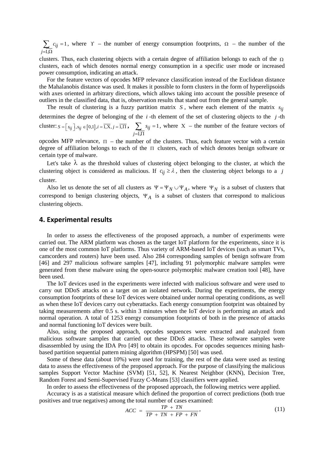1  $i_{ij} = 1$ *j , c*  $=1,\Omega$  $\sum c_{ij} = 1$ , where  $\Upsilon$  – the number of energy consumption footprints,  $\Omega$  – the number of the

clusters. Thus, each clustering objects with a certain degree of affiliation belongs to each of the  $\Omega$ clusters, each of which denotes normal energy consumption in a specific user mode or increased power consumption, indicating an attack.

For the feature vectors of opcodes MFP relevance classification instead of the Euclidean distance the Mahalanobis distance was used. It makes it possible to form clusters in the form of hyperelipsoids with axes oriented in arbitrary directions, which allows taking into account the possible presence of outliers in the classified data, that is, observation results that stand out from the general sample.

The result of clustering is a fuzzy partition matrix *S*, where each element of the matrix  $s_{ij}$ determines the degree of belonging of the *i* -th element of the set of clustering objects to the *j* -th cluster:  $S = \left[s_{ij}\right], s_{ij} \in \left[0,1\right], i = \overline{1,\overline{X}}, j = \overline{1,\overline{11}}$ , 1  $_{ij} = 1$ *j , s*  $=$   $1,\! \Pi$  $\sum s_{ij} = 1$ , where X – the number of the feature vectors of

opcodes MFP relevance,  $\Pi$  – the number of the clusters. Thus, each feature vector with a certain degree of affiliation belongs to each of the Π clusters, each of which denotes benign software or certain type of malware.

Let's take  $\lambda$  as the threshold values of clustering object belonging to the cluster, at which the clustering object is considered as malicious. If  $c_{ij} \ge \lambda$ , then the clustering object belongs to a *j* cluster.

Also let us denote the set of all clusters as  $\Psi = \Psi_N \cup \Psi_A$ , where  $\Psi_N$  is a subset of clusters that correspond to benign clustering objects, Ψ*<sup>A</sup>* is a subset of clusters that correspond to malicious clustering objects.

#### **4. Experimental results**

In order to assess the effectiveness of the proposed approach, a number of experiments were carried out. The ARM platform was chosen as the target IoT platform for the experiments, since it is one of the most common IoT platforms. Thus variety of ARM-based IoT devices (such as smart TVs, camcorders and routers) have been used. Also 284 corresponding samples of benign software from [46] and 297 malicious software samples [47], including 91 polymorphic malware samples were generated from these malware using the open-source polymorphic malware creation tool [48], have been used.

The IoT devices used in the experiments were infected with malicious software and were used to carry out DDoS attacks on a target on an isolated network. During the experiments, the energy consumption footprints of these IoT devices were obtained under normal operating conditions, as well as when these IoT devices carry out cyberattacks. Each energy consumption footprint was obtained by taking measurements after 0.5 s. within 3 minutes when the IoT device is performing an attack and normal operation. A total of 1253 energy consumption footprints of both in the presence of attacks and normal functioning IoT devices were built.

Also, using the proposed approach, opcodes sequences were extracted and analyzed from malicious software samples that carried out these DDoS attacks. These software samples were disassembled by using the IDA Pro [49] to obtain its opcodes. For opcodes sequences mining hashbased partition sequential pattern mining algorithm (HPSPM) [50] was used.

Some of these data (about 10%) were used for training, the rest of the data were used as testing data to assess the effectiveness of the proposed approach. For the purpose of classifying the malicious samples Support Vector Machine (SVM) [51, 52], K Nearest Neighbor (KNN), Decision Tree, Random Forest and Semi-Supervised Fuzzy C-Means [53] classifiers were applied.

In order to assess the effectiveness of the proposed approach, the following metrics were applied.

Accuracy is as a statistical measure which defined the proportion of correct predictions (both true positives and true negatives) among the total number of cases examined:

$$
ACC = \frac{TP + TN}{TP + TN + FP + FN},\tag{11}
$$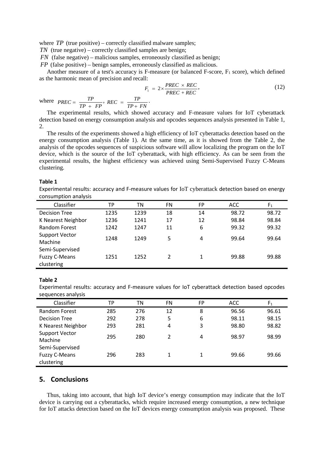where *TP* (true positive) – correctly classified malware samples;

*TN* (true negative) – correctly classified samples are benign;

*FN* (false negative) – malicious samples, erroneously classified as benign;

*FP* (false positive) – benign samples, erroneously classified as malicious.

Another measure of a test's accuracy is F-measure (or balanced F-score,  $F_1$  score), which defined as the harmonic mean of precision and recall:

$$
F_1 = 2 \times \frac{PREC \times REC}{PREC + REC}, \qquad (12)
$$

where  $PREC = \frac{TP}{TP + FP}$ ,  $REC = \frac{TP}{TP + FN}$ .

The experimental results, which showed accuracy and F-measure values for IoT cyberattack detection based on energy consumption analysis and opcodes sequences analysis presented in Table 1, 2.

The results of the experiments showed a high efficiency of IoT cyberattacks detection based on the energy consumption analysis (Table 1). At the same time, as it is showed from the Table 2, the analysis of the opcodes sequences of suspicious software will allow localizing the program on the IoT device, which is the source of the IoT cyberattack, with high efficiency. As can be seen from the experimental results, the highest efficiency was achieved using Semi-Supervised Fuzzy C-Means clustering.

#### **Table 1**

Experimental results: accuracy and F-measure values for IoT cyberattack detection based on energy consumption analysis

| Classifier                         | ТP   | ΤN   | FN | FP | <b>ACC</b> | F <sub>1</sub> |
|------------------------------------|------|------|----|----|------------|----------------|
| <b>Decision Tree</b>               | 1235 | 1239 | 18 | 14 | 98.72      | 98.72          |
| K Nearest Neighbor                 | 1236 | 1241 | 17 | 12 | 98.84      | 98.84          |
| <b>Random Forest</b>               | 1242 | 1247 | 11 | 6  | 99.32      | 99.32          |
| <b>Support Vector</b><br>Machine   | 1248 | 1249 | 5  | 4  | 99.64      | 99.64          |
| Semi-Supervised                    |      |      |    |    |            |                |
| <b>Fuzzy C-Means</b><br>clustering | 1251 | 1252 | 2  |    | 99.88      | 99.88          |

#### **Table 2**

Experimental results: accuracy and F-measure values for IoT cyberattack detection based opcodes sequences analysis

| Classifier                         | ТP  | ΤN  | <b>FN</b> | <b>FP</b> | ACC   | F <sub>1</sub> |
|------------------------------------|-----|-----|-----------|-----------|-------|----------------|
| Random Forest                      | 285 | 276 | 12        | 8         | 96.56 | 96.61          |
| Decision Tree                      | 292 | 278 | 5         | 6         | 98.11 | 98.15          |
| K Nearest Neighbor                 | 293 | 281 | 4         | 3         | 98.80 | 98.82          |
| <b>Support Vector</b><br>Machine   | 295 | 280 | 2         | 4         | 98.97 | 98.99          |
| Semi-Supervised                    |     |     |           |           |       |                |
| <b>Fuzzy C-Means</b><br>clustering | 296 | 283 | 1         |           | 99.66 | 99.66          |

#### **5. Conclusions**

Thus, taking into account, that high IoT device's energy consumption may indicate that the IoT device is carrying out a cyberattacks, which require increased energy consumption, a new technique for IoT attacks detection based on the IoT devices energy consumption analysis was proposed. These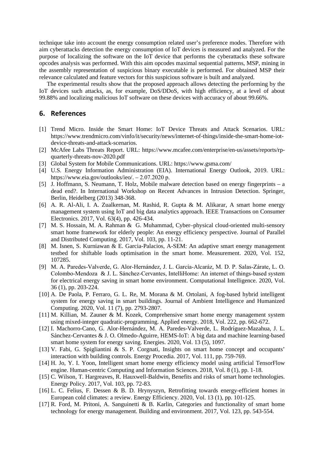technique take into account the energy consumption related user's preference modes. Therefore with aim cyberattacks detection the energy consumption of IoT devices is measured and analyzed. For the purpose of localizing the software on the IoT device that performs the cyberattacks these software opcodes analysis was performed. With this aim opcodes maximal sequential patterns, MSP, mining in the assembly representation of suspicious binary executable is performed. For obtained MSP their relevance calculated and feature vectors for this suspicious software is built and analyzed.

The experimental results show that the proposed approach allows detecting the performing by the IoT devices such attacks, as, for example, DoS/DDoS, with high efficiency, at a level of about 99.88% and localizing malicious IoT software on these devices with accuracy of about 99.66%.

#### **6. References**

- [1] Trend Micro. Inside the Smart Home: IoT Device Threats and Attack Scenarios. URL: [https://www.trendmicro.com/vinfo/it/security/news/internet-of-things/inside-the-smart-home-iot](https://www.trendmicro.com/vinfo/it/security/news/internet-of-things/inside-the-smart-home-iot-device-threats-and-attack-scenarios)[device-threats-and-attack-scenarios.](https://www.trendmicro.com/vinfo/it/security/news/internet-of-things/inside-the-smart-home-iot-device-threats-and-attack-scenarios)
- [2] McAfee Labs Threats Report. URL: https://www.mcafee.com/enterprise/en-us/assets/reports/rpquarterly-threats-nov-2020.pdf
- [3] Global System for Mobile Communications. URL[: https://www.gsma.com/](https://www.gsma.com/)
- [4] U.S. Energy Information Administration (EIA). International Energy Outlook, 2019. URL: https://www.eia.gov/outlooks/ieo/. – 2.07.2020 р.
- [5] J. Hoffmann, S. Neumann, T. Holz, Mobile malware detection based on energy fingerprints a dead end?. In International Workshop on Recent Advances in Intrusion Detection. Springer, Berlin, Heidelberg (2013) 348-368.
- [6] A. R. Al-Ali, I. A. Zualkernan, M. Rashid, R. Gupta & M. Alikarar, A smart home energy management system using IoT and big data analytics approach. IEEE Transactions on Consumer Electronics. 2017, Vol. 63(4), pp. 426-434.
- [7] M. S. Hossain, M. A. Rahman & G. Muhammad, Cyber–physical cloud-oriented multi-sensory smart home framework for elderly people: An energy efficiency perspective. Journal of Parallel and Distributed Computing. 2017, Vol. 103, pp. 11-21.
- [8] M. Isnen, S. Kurniawan & E. Garcia-Palacios, A-SEM: An adaptive smart energy management testbed for shiftable loads optimisation in the smart home. Measurement. 2020, Vol. 152, 107285.
- [9] M. A. Paredes‐Valverde, G. Alor‐Hernández, J. L. García‐Alcaráz, M. D. P. Salas‐Zárate, L. O. Colombo‐Mendoza & J. L. Sánchez‐Cervantes, IntelliHome: An internet of things‐based system for electrical energy saving in smart home environment. Computational Intelligence. 2020, Vol. 36 (1), pp. 203-224.
- [10] A. De Paola, P. Ferraro, G. L. Re, M. Morana & M. Ortolani, A fog-based hybrid intelligent system for energy saving in smart buildings. Journal of Ambient Intelligence and Humanized Computing. 2020, Vol. 11 (7), pp. 2793-2807.
- [11] M. Killian, M. Zauner & M. Kozek, Comprehensive smart home energy management system using mixed-integer quadratic-programming. Applied energy. 2018, Vol. 222, pp. 662-672.
- [12] I. Machorro-Cano, G. Alor-Hernández, M. A. Paredes-Valverde, L. Rodríguez-Mazahua, J. L. Sánchez-Cervantes & J. O. Olmedo-Aguirre, HEMS-IoT: A big data and machine learning-based smart home system for energy saving. Energies. 2020, Vol. 13 (5), 1097.
- [13] V. Fabi, G. Spigliantini & S. P. Corgnati, Insights on smart home concept and occupants' interaction with building controls. Energy Procedia. 2017, Vol. 111, pp. 759-769.
- [14] H. Jo, Y. I. Yoon, Intelligent smart home energy efficiency model using artificial TensorFlow engine. Human-centric Computing and Information Sciences. 2018, Vol. 8 (1), pp. 1-18.
- [15] C. Wilson, T. Hargreaves, R. Hauxwell-Baldwin, Benefits and risks of smart home technologies. Energy Policy. 2017, Vol. 103, pp. 72-83.
- [16] L. C. Felius, F. Dessen & B. D. Hrynyszyn, Retrofitting towards energy-efficient homes in European cold climates: a review. Energy Efficiency. 2020, Vol. 13 (1), pp. 101-125.
- [17] R. Ford, M. Pritoni, A. Sanguinetti & B. Karlin, Categories and functionality of smart home technology for energy management. Building and environment. 2017, Vol. 123, pp. 543-554.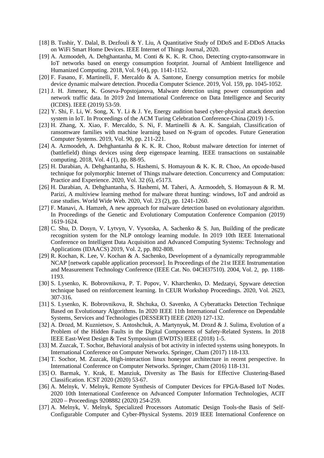- [18] B. Tushir, Y. Dalal, B. Dezfouli & Y. Liu, A Quantitative Study of DDoS and E-DDoS Attacks on WiFi Smart Home Devices. IEEE Internet of Things Journal, 2020.
- [19] A. Azmoodeh, A. Dehghantanha, M. Conti & K. K. R. Choo, Detecting crypto-ransomware in IoT networks based on energy consumption footprint. Journal of Ambient Intelligence and Humanized Computing. 2018, Vol. 9 (4), pp. 1141-1152.
- [20] F. Fasano, F. Martinelli, F. Mercaldo & A. Santone, Energy consumption metrics for mobile device dynamic malware detection. Procedia Computer Science. 2019, Vol. 159, pp. 1045-1052.
- [21] J. H. Jimenez, K. Goseva-Popstojanova, Malware detection using power consumption and network traffic data. In 2019 2nd International Conference on Data Intelligence and Security (ICDIS). IEEE (2019) 53-59.
- [22] Y. Shi, F. Li, W. Song, X. Y. Li & J. Ye, Energy audition based cyber-physical attack detection system in IoT. In Proceedings of the ACM Turing Celebration Conference-China (2019) 1-5.
- [23] H. Zhang, X. Xiao, F. Mercaldo, S. Ni, F. Martinelli & A. K. Sangaiah, Classification of ransomware families with machine learning based on N-gram of opcodes. Future Generation Computer Systems. 2019, Vol. 90, pp. 211-221.
- [24] A. Azmoodeh, A. Dehghantanha & K. K. R. Choo, Robust malware detection for internet of (battlefield) things devices using deep eigenspace learning. IEEE transactions on sustainable computing. 2018, Vol. 4 (1), pp. 88-95.
- [25] H. Darabian, A. Dehghantanha, S. Hashemi, S. Homayoun & K. K. R. Choo, An opcode‐based technique for polymorphic Internet of Things malware detection. Concurrency and Computation: Practice and Experience. 2020, Vol. 32 (6), e5173.
- [26] H. Darabian, A. Dehghantanha, S. Hashemi, M. Taheri, A. Azmoodeh, S. Homayoun & R. M. Parizi, A multiview learning method for malware threat hunting: windows, IoT and android as case studies. World Wide Web. 2020, Vol. 23 (2), pp. 1241-1260.
- [27] F. Manavi, A. Hamzeh, A new approach for malware detection based on evolutionary algorithm. In Proceedings of the Genetic and Evolutionary Computation Conference Companion (2019) 1619-1624.
- [28] C. Shu, D. Dosyn, V. Lytvyn, V. Vysotska, A. Sachenko & S. Jun, Building of the predicate recognition system for the NLP ontology learning module. In 2019 10th IEEE International Conference on Intelligent Data Acquisition and Advanced Computing Systems: Technology and Applications (IDAACS) 2019, Vol. 2, pp. 802-808.
- [29] R. Kochan, K. Lee, V. Kochan & A. Sachenko, Development of a dynamically reprogrammable NCAP [network capable application processor]. In Proceedings of the 21st IEEE Instrumentation and Measurement Technology Conference (IEEE Cat. No. 04CH37510). 2004, Vol. 2, pp. 1188- 1193.
- [30] S. Lysenko, K. Bobrovnikova, P. T. Popov, V. Kharchenko, D. Medzatyi, Spyware detection technique based on reinforcement learning. In CEUR Workshop Proceedings. 2020, Vol. 2623, 307-316.
- [31] S. Lysenko, K. Bobrovnikova, R. Shchuka, O. Savenko, A Cyberattacks Detection Technique Based on Evolutionary Algorithms. In 2020 IEEE 11th International Conference on Dependable Systems, Services and Technologies (DESSERT) IEEE (2020) 127-132.
- [32] A. Drozd, M. Kuznietsov, S. Antoshchuk, A. Martynyuk, M. Drozd & J. Sulima, Evolution of a Problem of the Hidden Faults in the Digital Components of Safety-Related Systens. In 2018 IEEE East-West Design & Test Symposium (EWDTS) IEEE (2018) 1-5.
- [33] M. Zuzcak, T. Sochor, Behavioral analysis of bot activity in infected systems using honeypots. In International Conference on Computer Networks. Springer, Cham (2017) 118-133.
- [34] T. Sochor, M. Zuzcak, High-interaction linux honeypot architecture in recent perspective. In International Conference on Computer Networks. Springer, Cham (2016) 118-131.
- [35] O. Barmak, Y. Krak, E. Manziuk, Diversity as The Basis for Effective Clustering-Based Classification. ICST 2020 (2020) 53-67.
- [36] A. Melnyk, V. Melnyk, Remote Synthesis of Computer Devices for FPGA-Based IoT Nodes. 2020 10th International Conference on Advanced Computer Information Technologies, ACIT 2020 – Proceedings 9208882 (2020) 254-259.
- [37] A. Melnyk, V. Melnyk, Specialized Processors Automatic Design Tools-the Basis of Self-Configurable Computer and Cyber-Physical Systems. 2019 IEEE International Conference on